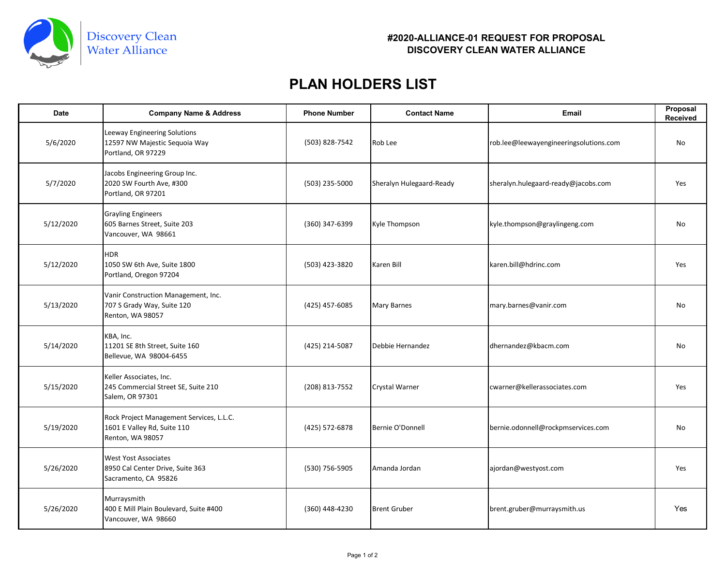

## **#2020-ALLIANCE-01 REQUEST FOR PROPOSAL DISCOVERY CLEAN WATER ALLIANCE**

## **PLAN HOLDERS LIST**

| <b>Date</b> | <b>Company Name &amp; Address</b>                                                           | <b>Phone Number</b> | <b>Contact Name</b>      | <b>Email</b>                           | Proposal<br>Received |
|-------------|---------------------------------------------------------------------------------------------|---------------------|--------------------------|----------------------------------------|----------------------|
| 5/6/2020    | Leeway Engineering Solutions<br>12597 NW Majestic Sequoia Way<br>Portland, OR 97229         | (503) 828-7542      | Rob Lee                  | rob.lee@leewayengineeringsolutions.com | No                   |
| 5/7/2020    | Jacobs Engineering Group Inc.<br>2020 SW Fourth Ave, #300<br>Portland, OR 97201             | (503) 235-5000      | Sheralyn Hulegaard-Ready | sheralyn.hulegaard-ready@jacobs.com    | Yes                  |
| 5/12/2020   | <b>Grayling Engineers</b><br>605 Barnes Street, Suite 203<br>Vancouver, WA 98661            | (360) 347-6399      | Kyle Thompson            | kyle.thompson@graylingeng.com          | No                   |
| 5/12/2020   | <b>HDR</b><br>1050 SW 6th Ave, Suite 1800<br>Portland, Oregon 97204                         | (503) 423-3820      | Karen Bill               | karen.bill@hdrinc.com                  | Yes                  |
| 5/13/2020   | Vanir Construction Management, Inc.<br>707 S Grady Way, Suite 120<br>Renton, WA 98057       | (425) 457-6085      | Mary Barnes              | mary.barnes@vanir.com                  | No                   |
| 5/14/2020   | KBA, Inc.<br>11201 SE 8th Street, Suite 160<br>Bellevue, WA 98004-6455                      | (425) 214-5087      | Debbie Hernandez         | dhernandez@kbacm.com                   | No                   |
| 5/15/2020   | Keller Associates, Inc.<br>245 Commercial Street SE, Suite 210<br>Salem, OR 97301           | (208) 813-7552      | Crystal Warner           | cwarner@kellerassociates.com           | Yes                  |
| 5/19/2020   | Rock Project Management Services, L.L.C.<br>1601 E Valley Rd, Suite 110<br>Renton, WA 98057 | (425) 572-6878      | Bernie O'Donnell         | bernie.odonnell@rockpmservices.com     | No                   |
| 5/26/2020   | <b>West Yost Associates</b><br>8950 Cal Center Drive, Suite 363<br>Sacramento, CA 95826     | (530) 756-5905      | Amanda Jordan            | ajordan@westyost.com                   | Yes                  |
| 5/26/2020   | Murraysmith<br>400 E Mill Plain Boulevard, Suite #400<br>Vancouver, WA 98660                | (360) 448-4230      | <b>Brent Gruber</b>      | brent.gruber@murraysmith.us            | Yes                  |